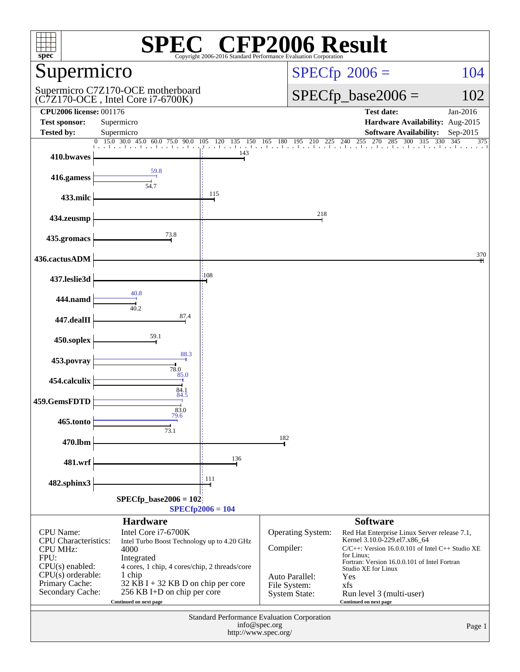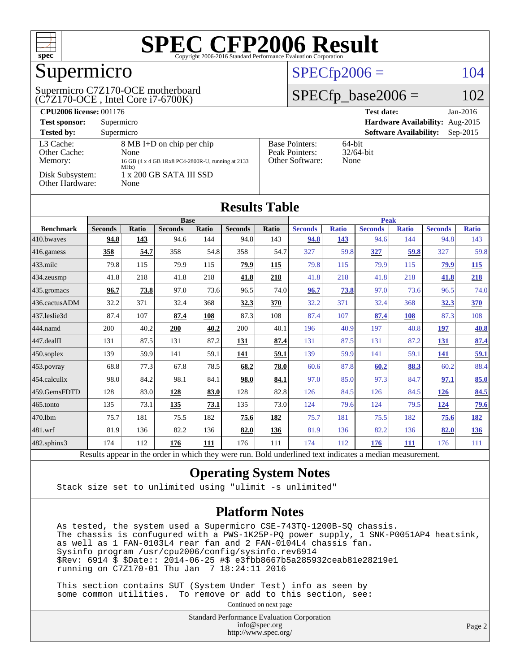

## Supermicro

#### (C7Z170-OCE , Intel Core i7-6700K) Supermicro C7Z170-OCE motherboard

#### $SPECfp2006 = 104$  $SPECfp2006 = 104$

#### $SPECfp\_base2006 =$

| <b>CPU2006 license: 001176</b>       |                                                                                                |                                                            | <b>Test date:</b><br>$Jan-2016$             |
|--------------------------------------|------------------------------------------------------------------------------------------------|------------------------------------------------------------|---------------------------------------------|
| <b>Test sponsor:</b>                 | Supermicro                                                                                     |                                                            | Hardware Availability: Aug-2015             |
| <b>Tested by:</b>                    | Supermicro                                                                                     |                                                            | <b>Software Availability:</b><br>$Sep-2015$ |
| L3 Cache:<br>Other Cache:<br>Memory: | 8 MB I+D on chip per chip<br>None<br>16 GB (4 x 4 GB 1Rx8 PC4-2800R-U, running at 2133<br>MHz) | <b>Base Pointers:</b><br>Peak Pointers:<br>Other Software: | $64$ -bit<br>$32/64$ -bit<br>None           |
| Disk Subsystem:<br>Other Hardware:   | $1 \times 200$ GB SATA III SSD<br>None                                                         |                                                            |                                             |

| <b>Results Table</b>                                                                 |                |              |                |              |                |             |                |              |                |              |                |              |
|--------------------------------------------------------------------------------------|----------------|--------------|----------------|--------------|----------------|-------------|----------------|--------------|----------------|--------------|----------------|--------------|
|                                                                                      | <b>Base</b>    |              |                |              |                | <b>Peak</b> |                |              |                |              |                |              |
| <b>Benchmark</b>                                                                     | <b>Seconds</b> | <b>Ratio</b> | <b>Seconds</b> | <b>Ratio</b> | <b>Seconds</b> | Ratio       | <b>Seconds</b> | <b>Ratio</b> | <b>Seconds</b> | <b>Ratio</b> | <b>Seconds</b> | <b>Ratio</b> |
| 410.bwayes                                                                           | 94.8           | 143          | 94.6           | 144          | 94.8           | 143         | 94.8           | 143          | 94.6           | 144          | 94.8           | 143          |
| 416.gamess                                                                           | 358            | 54.7         | 358            | 54.8         | 358            | 54.7        | 327            | 59.8         | 327            | 59.8         | 327            | 59.8         |
| $433$ .milc                                                                          | 79.8           | 115          | 79.9           | 115          | 79.9           | 115         | 79.8           | 115          | 79.9           | 115          | 79.9           | <b>115</b>   |
| 434.zeusmp                                                                           | 41.8           | 218          | 41.8           | 218          | 41.8           | 218         | 41.8           | 218          | 41.8           | 218          | 41.8           | 218          |
| 435.gromacs                                                                          | 96.7           | 73.8         | 97.0           | 73.6         | 96.5           | 74.0        | 96.7           | 73.8         | 97.0           | 73.6         | 96.5           | 74.0         |
| 436.cactusADM                                                                        | 32.2           | 371          | 32.4           | 368          | 32.3           | 370         | 32.2           | 371          | 32.4           | 368          | 32.3           | <b>370</b>   |
| 437.leslie3d                                                                         | 87.4           | 107          | 87.4           | 108          | 87.3           | 108         | 87.4           | 107          | 87.4           | 108          | 87.3           | 108          |
| 444.namd                                                                             | 200            | 40.2         | 200            | 40.2         | 200            | 40.1        | 196            | 40.9         | 197            | 40.8         | <u>197</u>     | 40.8         |
| 447.dealII                                                                           | 131            | 87.5         | 131            | 87.2         | 131            | 87.4        | 131            | 87.5         | 131            | 87.2         | 131            | 87.4         |
| 450.soplex                                                                           | 139            | 59.9         | 141            | 59.1         | 141            | 59.1        | 139            | 59.9         | 141            | 59.1         | <b>141</b>     | <u>59.1</u>  |
| 453.povray                                                                           | 68.8           | 77.3         | 67.8           | 78.5         | 68.2           | 78.0        | 60.6           | 87.8         | 60.2           | 88.3         | 60.2           | 88.4         |
| 454.calculix                                                                         | 98.0           | 84.2         | 98.1           | 84.1         | 98.0           | 84.1        | 97.0           | 85.0         | 97.3           | 84.7         | 97.1           | 85.0         |
| 459.GemsFDTD                                                                         | 128            | 83.0         | <u>128</u>     | 83.0         | 128            | 82.8        | 126            | 84.5         | 126            | 84.5         | 126            | 84.5         |
| 465.tonto                                                                            | 135            | 73.1         | <u>135</u>     | 73.1         | 135            | 73.0        | 124            | 79.6         | 124            | 79.5         | <u>124</u>     | <u>79.6</u>  |
| 470.1bm                                                                              | 75.7           | 181          | 75.5           | 182          | 75.6           | 182         | 75.7           | 181          | 75.5           | 182          | 75.6           | <u>182</u>   |
| 481.wrf                                                                              | 81.9           | 136          | 82.2           | 136          | 82.0           | 136         | 81.9           | 136          | 82.2           | 136          | 82.0           | <u>136</u>   |
| 482.sphinx3                                                                          | 174            | 112          | 176            | 111          | 176            | 111         | 174            | 112          | 176            | 111          | 176            | 111          |
| $\cdot$ $\cdot$<br>$\sim$ $\sim$<br>- - -<br>$\sim$ $\sim$<br>$\sim$<br>$\cdot$<br>. |                |              |                |              |                |             |                |              |                |              |                |              |

Results appear in the [order in which they were run.](http://www.spec.org/auto/cpu2006/Docs/result-fields.html#RunOrder) Bold underlined text [indicates a median measurement.](http://www.spec.org/auto/cpu2006/Docs/result-fields.html#Median)

#### **[Operating System Notes](http://www.spec.org/auto/cpu2006/Docs/result-fields.html#OperatingSystemNotes)**

Stack size set to unlimited using "ulimit -s unlimited"

#### **[Platform Notes](http://www.spec.org/auto/cpu2006/Docs/result-fields.html#PlatformNotes)**

 As tested, the system used a Supermicro CSE-743TQ-1200B-SQ chassis. The chassis is confugured with a PWS-1K25P-PQ power supply, 1 SNK-P0051AP4 heatsink, as well as 1 FAN-0103L4 rear fan and 2 FAN-0104L4 chassis fan. Sysinfo program /usr/cpu2006/config/sysinfo.rev6914 \$Rev: 6914 \$ \$Date:: 2014-06-25 #\$ e3fbb8667b5a285932ceab81e28219e1 running on C7Z170-01 Thu Jan 7 18:24:11 2016

 This section contains SUT (System Under Test) info as seen by some common utilities. To remove or add to this section, see:

Continued on next page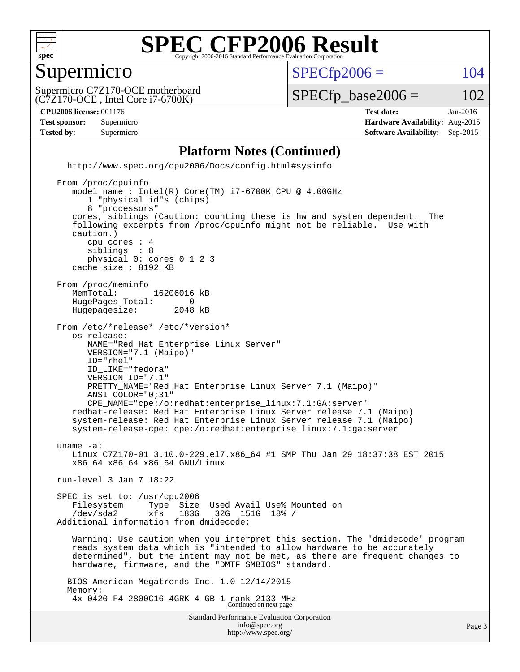

#### Supermicro

 $SPECTp2006 = 104$ 

(C7Z170-OCE , Intel Core i7-6700K) Supermicro C7Z170-OCE motherboard

 $SPECTp\_base2006 = 102$ 

#### **[CPU2006 license:](http://www.spec.org/auto/cpu2006/Docs/result-fields.html#CPU2006license)** 001176 **[Test date:](http://www.spec.org/auto/cpu2006/Docs/result-fields.html#Testdate)** Jan-2016

**[Test sponsor:](http://www.spec.org/auto/cpu2006/Docs/result-fields.html#Testsponsor)** Supermicro **[Hardware Availability:](http://www.spec.org/auto/cpu2006/Docs/result-fields.html#HardwareAvailability)** Aug-2015 **[Tested by:](http://www.spec.org/auto/cpu2006/Docs/result-fields.html#Testedby)** Supermicro **Supermicro [Software Availability:](http://www.spec.org/auto/cpu2006/Docs/result-fields.html#SoftwareAvailability)** Sep-2015

#### **[Platform Notes \(Continued\)](http://www.spec.org/auto/cpu2006/Docs/result-fields.html#PlatformNotes)**

Standard Performance Evaluation Corporation [info@spec.org](mailto:info@spec.org) <http://www.spec.org/cpu2006/Docs/config.html#sysinfo> From /proc/cpuinfo model name : Intel(R) Core(TM) i7-6700K CPU @ 4.00GHz 1 "physical id"s (chips) 8 "processors" cores, siblings (Caution: counting these is hw and system dependent. The following excerpts from /proc/cpuinfo might not be reliable. Use with caution.) cpu cores : 4<br>siblings : 8 siblings physical 0: cores 0 1 2 3 cache size : 8192 KB From /proc/meminfo MemTotal: 16206016 kB<br>HugePages Total: 0 HugePages\_Total: 0 Hugepagesize: 2048 kB From /etc/\*release\* /etc/\*version\* os-release: NAME="Red Hat Enterprise Linux Server" VERSION="7.1 (Maipo)" ID="rhel" ID\_LIKE="fedora" VERSION\_ID="7.1" PRETTY\_NAME="Red Hat Enterprise Linux Server 7.1 (Maipo)" ANSI\_COLOR="0;31" CPE\_NAME="cpe:/o:redhat:enterprise\_linux:7.1:GA:server" redhat-release: Red Hat Enterprise Linux Server release 7.1 (Maipo) system-release: Red Hat Enterprise Linux Server release 7.1 (Maipo) system-release-cpe: cpe:/o:redhat:enterprise\_linux:7.1:ga:server uname -a: Linux C7Z170-01 3.10.0-229.el7.x86\_64 #1 SMP Thu Jan 29 18:37:38 EST 2015 x86\_64 x86\_64 x86\_64 GNU/Linux run-level 3 Jan 7 18:22 SPEC is set to: /usr/cpu2006 Filesystem Type Size Used Avail Use% Mounted on<br>
/dev/sda2 xfs 183G 32G 151G 18% / /dev/sda2 xfs 183G 32G 151G 18% / Additional information from dmidecode: Warning: Use caution when you interpret this section. The 'dmidecode' program reads system data which is "intended to allow hardware to be accurately determined", but the intent may not be met, as there are frequent changes to hardware, firmware, and the "DMTF SMBIOS" standard. BIOS American Megatrends Inc. 1.0 12/14/2015 Memory: 4x 0420 F4-2800C16-4GRK 4 GB 1 rank 2133 MHz Continued on next page

<http://www.spec.org/>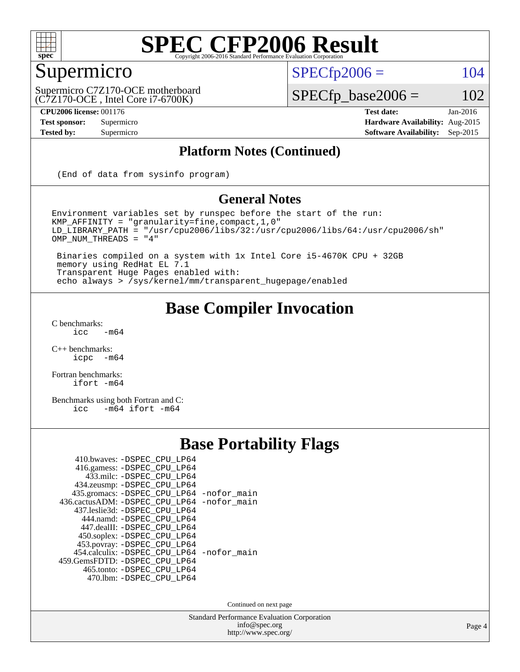

### Supermicro

 $SPECTp2006 = 104$ 

(C7Z170-OCE , Intel Core i7-6700K) Supermicro C7Z170-OCE motherboard

**[CPU2006 license:](http://www.spec.org/auto/cpu2006/Docs/result-fields.html#CPU2006license)** 001176 **[Test date:](http://www.spec.org/auto/cpu2006/Docs/result-fields.html#Testdate)** Jan-2016

 $SPECfp\_base2006 = 102$ 

**[Test sponsor:](http://www.spec.org/auto/cpu2006/Docs/result-fields.html#Testsponsor)** Supermicro **[Hardware Availability:](http://www.spec.org/auto/cpu2006/Docs/result-fields.html#HardwareAvailability)** Aug-2015 **[Tested by:](http://www.spec.org/auto/cpu2006/Docs/result-fields.html#Testedby)** Supermicro **Supermicro [Software Availability:](http://www.spec.org/auto/cpu2006/Docs/result-fields.html#SoftwareAvailability)** Sep-2015

#### **[Platform Notes \(Continued\)](http://www.spec.org/auto/cpu2006/Docs/result-fields.html#PlatformNotes)**

(End of data from sysinfo program)

#### **[General Notes](http://www.spec.org/auto/cpu2006/Docs/result-fields.html#GeneralNotes)**

Environment variables set by runspec before the start of the run: KMP\_AFFINITY = "granularity=fine,compact,1,0" LD\_LIBRARY\_PATH = "/usr/cpu2006/libs/32:/usr/cpu2006/libs/64:/usr/cpu2006/sh" OMP\_NUM\_THREADS = "4"

 Binaries compiled on a system with 1x Intel Core i5-4670K CPU + 32GB memory using RedHat EL 7.1 Transparent Huge Pages enabled with: echo always > /sys/kernel/mm/transparent\_hugepage/enabled

#### **[Base Compiler Invocation](http://www.spec.org/auto/cpu2006/Docs/result-fields.html#BaseCompilerInvocation)**

 $C$  benchmarks:<br>icc  $-m64$ 

[C++ benchmarks:](http://www.spec.org/auto/cpu2006/Docs/result-fields.html#CXXbenchmarks) [icpc -m64](http://www.spec.org/cpu2006/results/res2016q1/cpu2006-20160108-38632.flags.html#user_CXXbase_intel_icpc_64bit_bedb90c1146cab66620883ef4f41a67e)

[Fortran benchmarks](http://www.spec.org/auto/cpu2006/Docs/result-fields.html#Fortranbenchmarks): [ifort -m64](http://www.spec.org/cpu2006/results/res2016q1/cpu2006-20160108-38632.flags.html#user_FCbase_intel_ifort_64bit_ee9d0fb25645d0210d97eb0527dcc06e)

[Benchmarks using both Fortran and C](http://www.spec.org/auto/cpu2006/Docs/result-fields.html#BenchmarksusingbothFortranandC): [icc -m64](http://www.spec.org/cpu2006/results/res2016q1/cpu2006-20160108-38632.flags.html#user_CC_FCbase_intel_icc_64bit_0b7121f5ab7cfabee23d88897260401c) [ifort -m64](http://www.spec.org/cpu2006/results/res2016q1/cpu2006-20160108-38632.flags.html#user_CC_FCbase_intel_ifort_64bit_ee9d0fb25645d0210d97eb0527dcc06e)

### **[Base Portability Flags](http://www.spec.org/auto/cpu2006/Docs/result-fields.html#BasePortabilityFlags)**

| 410.bwaves: -DSPEC CPU LP64                |  |
|--------------------------------------------|--|
| 416.gamess: -DSPEC_CPU_LP64                |  |
| 433.milc: -DSPEC CPU LP64                  |  |
| 434.zeusmp: -DSPEC_CPU_LP64                |  |
| 435.gromacs: -DSPEC_CPU_LP64 -nofor_main   |  |
| 436.cactusADM: -DSPEC_CPU_LP64 -nofor_main |  |
| 437.leslie3d: -DSPEC CPU LP64              |  |
| 444.namd: -DSPEC CPU LP64                  |  |
| 447.dealII: -DSPEC CPU LP64                |  |
| 450.soplex: -DSPEC_CPU_LP64                |  |
| 453.povray: -DSPEC_CPU_LP64                |  |
| 454.calculix: -DSPEC CPU LP64 -nofor main  |  |
| 459. GemsFDTD: - DSPEC CPU LP64            |  |
| 465.tonto: - DSPEC_CPU_LP64                |  |
| 470.1bm: - DSPEC CPU LP64                  |  |

Continued on next page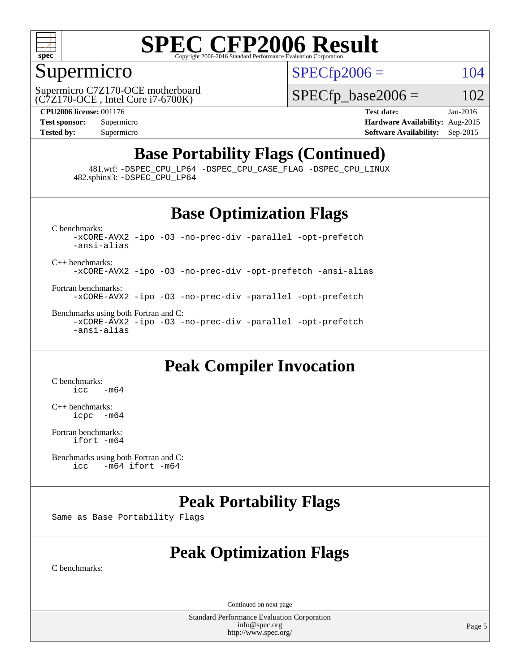

#### Supermicro

 $SPECTp2006 = 104$ 

(C7Z170-OCE , Intel Core i7-6700K) Supermicro C7Z170-OCE motherboard  $SPECTp\_base2006 = 102$ 

**[CPU2006 license:](http://www.spec.org/auto/cpu2006/Docs/result-fields.html#CPU2006license)** 001176 **[Test date:](http://www.spec.org/auto/cpu2006/Docs/result-fields.html#Testdate)** Jan-2016 **[Test sponsor:](http://www.spec.org/auto/cpu2006/Docs/result-fields.html#Testsponsor)** Supermicro **[Hardware Availability:](http://www.spec.org/auto/cpu2006/Docs/result-fields.html#HardwareAvailability)** Aug-2015 **[Tested by:](http://www.spec.org/auto/cpu2006/Docs/result-fields.html#Testedby)** Supermicro **[Software Availability:](http://www.spec.org/auto/cpu2006/Docs/result-fields.html#SoftwareAvailability)** Sep-2015

### **[Base Portability Flags \(Continued\)](http://www.spec.org/auto/cpu2006/Docs/result-fields.html#BasePortabilityFlags)**

 481.wrf: [-DSPEC\\_CPU\\_LP64](http://www.spec.org/cpu2006/results/res2016q1/cpu2006-20160108-38632.flags.html#suite_basePORTABILITY481_wrf_DSPEC_CPU_LP64) [-DSPEC\\_CPU\\_CASE\\_FLAG](http://www.spec.org/cpu2006/results/res2016q1/cpu2006-20160108-38632.flags.html#b481.wrf_baseCPORTABILITY_DSPEC_CPU_CASE_FLAG) [-DSPEC\\_CPU\\_LINUX](http://www.spec.org/cpu2006/results/res2016q1/cpu2006-20160108-38632.flags.html#b481.wrf_baseCPORTABILITY_DSPEC_CPU_LINUX) 482.sphinx3: [-DSPEC\\_CPU\\_LP64](http://www.spec.org/cpu2006/results/res2016q1/cpu2006-20160108-38632.flags.html#suite_basePORTABILITY482_sphinx3_DSPEC_CPU_LP64)

### **[Base Optimization Flags](http://www.spec.org/auto/cpu2006/Docs/result-fields.html#BaseOptimizationFlags)**

[C benchmarks](http://www.spec.org/auto/cpu2006/Docs/result-fields.html#Cbenchmarks): [-xCORE-AVX2](http://www.spec.org/cpu2006/results/res2016q1/cpu2006-20160108-38632.flags.html#user_CCbase_f-xAVX2_5f5fc0cbe2c9f62c816d3e45806c70d7) [-ipo](http://www.spec.org/cpu2006/results/res2016q1/cpu2006-20160108-38632.flags.html#user_CCbase_f-ipo) [-O3](http://www.spec.org/cpu2006/results/res2016q1/cpu2006-20160108-38632.flags.html#user_CCbase_f-O3) [-no-prec-div](http://www.spec.org/cpu2006/results/res2016q1/cpu2006-20160108-38632.flags.html#user_CCbase_f-no-prec-div) [-parallel](http://www.spec.org/cpu2006/results/res2016q1/cpu2006-20160108-38632.flags.html#user_CCbase_f-parallel) [-opt-prefetch](http://www.spec.org/cpu2006/results/res2016q1/cpu2006-20160108-38632.flags.html#user_CCbase_f-opt-prefetch) [-ansi-alias](http://www.spec.org/cpu2006/results/res2016q1/cpu2006-20160108-38632.flags.html#user_CCbase_f-ansi-alias) [C++ benchmarks:](http://www.spec.org/auto/cpu2006/Docs/result-fields.html#CXXbenchmarks) [-xCORE-AVX2](http://www.spec.org/cpu2006/results/res2016q1/cpu2006-20160108-38632.flags.html#user_CXXbase_f-xAVX2_5f5fc0cbe2c9f62c816d3e45806c70d7) [-ipo](http://www.spec.org/cpu2006/results/res2016q1/cpu2006-20160108-38632.flags.html#user_CXXbase_f-ipo) [-O3](http://www.spec.org/cpu2006/results/res2016q1/cpu2006-20160108-38632.flags.html#user_CXXbase_f-O3) [-no-prec-div](http://www.spec.org/cpu2006/results/res2016q1/cpu2006-20160108-38632.flags.html#user_CXXbase_f-no-prec-div) [-opt-prefetch](http://www.spec.org/cpu2006/results/res2016q1/cpu2006-20160108-38632.flags.html#user_CXXbase_f-opt-prefetch) [-ansi-alias](http://www.spec.org/cpu2006/results/res2016q1/cpu2006-20160108-38632.flags.html#user_CXXbase_f-ansi-alias)

[Fortran benchmarks](http://www.spec.org/auto/cpu2006/Docs/result-fields.html#Fortranbenchmarks): [-xCORE-AVX2](http://www.spec.org/cpu2006/results/res2016q1/cpu2006-20160108-38632.flags.html#user_FCbase_f-xAVX2_5f5fc0cbe2c9f62c816d3e45806c70d7) [-ipo](http://www.spec.org/cpu2006/results/res2016q1/cpu2006-20160108-38632.flags.html#user_FCbase_f-ipo) [-O3](http://www.spec.org/cpu2006/results/res2016q1/cpu2006-20160108-38632.flags.html#user_FCbase_f-O3) [-no-prec-div](http://www.spec.org/cpu2006/results/res2016q1/cpu2006-20160108-38632.flags.html#user_FCbase_f-no-prec-div) [-parallel](http://www.spec.org/cpu2006/results/res2016q1/cpu2006-20160108-38632.flags.html#user_FCbase_f-parallel) [-opt-prefetch](http://www.spec.org/cpu2006/results/res2016q1/cpu2006-20160108-38632.flags.html#user_FCbase_f-opt-prefetch)

[Benchmarks using both Fortran and C](http://www.spec.org/auto/cpu2006/Docs/result-fields.html#BenchmarksusingbothFortranandC): [-xCORE-AVX2](http://www.spec.org/cpu2006/results/res2016q1/cpu2006-20160108-38632.flags.html#user_CC_FCbase_f-xAVX2_5f5fc0cbe2c9f62c816d3e45806c70d7) [-ipo](http://www.spec.org/cpu2006/results/res2016q1/cpu2006-20160108-38632.flags.html#user_CC_FCbase_f-ipo) [-O3](http://www.spec.org/cpu2006/results/res2016q1/cpu2006-20160108-38632.flags.html#user_CC_FCbase_f-O3) [-no-prec-div](http://www.spec.org/cpu2006/results/res2016q1/cpu2006-20160108-38632.flags.html#user_CC_FCbase_f-no-prec-div) [-parallel](http://www.spec.org/cpu2006/results/res2016q1/cpu2006-20160108-38632.flags.html#user_CC_FCbase_f-parallel) [-opt-prefetch](http://www.spec.org/cpu2006/results/res2016q1/cpu2006-20160108-38632.flags.html#user_CC_FCbase_f-opt-prefetch) [-ansi-alias](http://www.spec.org/cpu2006/results/res2016q1/cpu2006-20160108-38632.flags.html#user_CC_FCbase_f-ansi-alias)

### **[Peak Compiler Invocation](http://www.spec.org/auto/cpu2006/Docs/result-fields.html#PeakCompilerInvocation)**

[C benchmarks](http://www.spec.org/auto/cpu2006/Docs/result-fields.html#Cbenchmarks):  $\text{icc}$   $-\text{m64}$ 

[C++ benchmarks:](http://www.spec.org/auto/cpu2006/Docs/result-fields.html#CXXbenchmarks) [icpc -m64](http://www.spec.org/cpu2006/results/res2016q1/cpu2006-20160108-38632.flags.html#user_CXXpeak_intel_icpc_64bit_bedb90c1146cab66620883ef4f41a67e)

[Fortran benchmarks](http://www.spec.org/auto/cpu2006/Docs/result-fields.html#Fortranbenchmarks): [ifort -m64](http://www.spec.org/cpu2006/results/res2016q1/cpu2006-20160108-38632.flags.html#user_FCpeak_intel_ifort_64bit_ee9d0fb25645d0210d97eb0527dcc06e)

[Benchmarks using both Fortran and C](http://www.spec.org/auto/cpu2006/Docs/result-fields.html#BenchmarksusingbothFortranandC):<br>icc -m64 if ort -m64  $-m64$  ifort  $-m64$ 

### **[Peak Portability Flags](http://www.spec.org/auto/cpu2006/Docs/result-fields.html#PeakPortabilityFlags)**

Same as Base Portability Flags

### **[Peak Optimization Flags](http://www.spec.org/auto/cpu2006/Docs/result-fields.html#PeakOptimizationFlags)**

[C benchmarks](http://www.spec.org/auto/cpu2006/Docs/result-fields.html#Cbenchmarks):

Continued on next page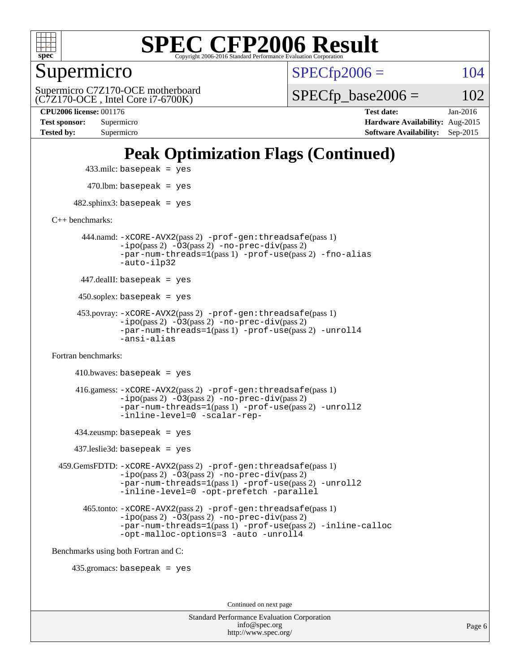

Supermicro

 $SPECTp2006 = 104$ 

(C7Z170-OCE , Intel Core i7-6700K) Supermicro C7Z170-OCE motherboard  $SPECTp\_base2006 = 102$ 

**[Tested by:](http://www.spec.org/auto/cpu2006/Docs/result-fields.html#Testedby)** Supermicro **[Software Availability:](http://www.spec.org/auto/cpu2006/Docs/result-fields.html#SoftwareAvailability)** Sep-2015

**[CPU2006 license:](http://www.spec.org/auto/cpu2006/Docs/result-fields.html#CPU2006license)** 001176 **[Test date:](http://www.spec.org/auto/cpu2006/Docs/result-fields.html#Testdate)** Jan-2016 **[Test sponsor:](http://www.spec.org/auto/cpu2006/Docs/result-fields.html#Testsponsor)** Supermicro **[Hardware Availability:](http://www.spec.org/auto/cpu2006/Docs/result-fields.html#HardwareAvailability)** Aug-2015

### **[Peak Optimization Flags \(Continued\)](http://www.spec.org/auto/cpu2006/Docs/result-fields.html#PeakOptimizationFlags)**

433.milc: basepeak = yes

 $470$ .lbm: basepeak = yes

 $482$ .sphinx3: basepeak = yes

[C++ benchmarks:](http://www.spec.org/auto/cpu2006/Docs/result-fields.html#CXXbenchmarks)

 444.namd: [-xCORE-AVX2](http://www.spec.org/cpu2006/results/res2016q1/cpu2006-20160108-38632.flags.html#user_peakPASS2_CXXFLAGSPASS2_LDFLAGS444_namd_f-xAVX2_5f5fc0cbe2c9f62c816d3e45806c70d7)(pass 2) [-prof-gen:threadsafe](http://www.spec.org/cpu2006/results/res2016q1/cpu2006-20160108-38632.flags.html#user_peakPASS1_CXXFLAGSPASS1_LDFLAGS444_namd_prof_gen_21a26eb79f378b550acd7bec9fe4467a)(pass 1) [-ipo](http://www.spec.org/cpu2006/results/res2016q1/cpu2006-20160108-38632.flags.html#user_peakPASS2_CXXFLAGSPASS2_LDFLAGS444_namd_f-ipo)(pass 2) [-O3](http://www.spec.org/cpu2006/results/res2016q1/cpu2006-20160108-38632.flags.html#user_peakPASS2_CXXFLAGSPASS2_LDFLAGS444_namd_f-O3)(pass 2) [-no-prec-div](http://www.spec.org/cpu2006/results/res2016q1/cpu2006-20160108-38632.flags.html#user_peakPASS2_CXXFLAGSPASS2_LDFLAGS444_namd_f-no-prec-div)(pass 2) [-par-num-threads=1](http://www.spec.org/cpu2006/results/res2016q1/cpu2006-20160108-38632.flags.html#user_peakPASS1_CXXFLAGSPASS1_LDFLAGS444_namd_par_num_threads_786a6ff141b4e9e90432e998842df6c2)(pass 1) [-prof-use](http://www.spec.org/cpu2006/results/res2016q1/cpu2006-20160108-38632.flags.html#user_peakPASS2_CXXFLAGSPASS2_LDFLAGS444_namd_prof_use_bccf7792157ff70d64e32fe3e1250b55)(pass 2) [-fno-alias](http://www.spec.org/cpu2006/results/res2016q1/cpu2006-20160108-38632.flags.html#user_peakCXXOPTIMIZEOPTIMIZE444_namd_f-no-alias_694e77f6c5a51e658e82ccff53a9e63a) [-auto-ilp32](http://www.spec.org/cpu2006/results/res2016q1/cpu2006-20160108-38632.flags.html#user_peakCXXOPTIMIZE444_namd_f-auto-ilp32)

447.dealII: basepeak = yes

 $450$ .soplex: basepeak = yes

 453.povray: [-xCORE-AVX2](http://www.spec.org/cpu2006/results/res2016q1/cpu2006-20160108-38632.flags.html#user_peakPASS2_CXXFLAGSPASS2_LDFLAGS453_povray_f-xAVX2_5f5fc0cbe2c9f62c816d3e45806c70d7)(pass 2) [-prof-gen:threadsafe](http://www.spec.org/cpu2006/results/res2016q1/cpu2006-20160108-38632.flags.html#user_peakPASS1_CXXFLAGSPASS1_LDFLAGS453_povray_prof_gen_21a26eb79f378b550acd7bec9fe4467a)(pass 1)  $-ipo(pass 2) -\overline{O3(pass 2)}$  $-ipo(pass 2) -\overline{O3(pass 2)}$  [-no-prec-div](http://www.spec.org/cpu2006/results/res2016q1/cpu2006-20160108-38632.flags.html#user_peakPASS2_CXXFLAGSPASS2_LDFLAGS453_povray_f-no-prec-div)(pass 2) [-par-num-threads=1](http://www.spec.org/cpu2006/results/res2016q1/cpu2006-20160108-38632.flags.html#user_peakPASS1_CXXFLAGSPASS1_LDFLAGS453_povray_par_num_threads_786a6ff141b4e9e90432e998842df6c2)(pass 1) [-prof-use](http://www.spec.org/cpu2006/results/res2016q1/cpu2006-20160108-38632.flags.html#user_peakPASS2_CXXFLAGSPASS2_LDFLAGS453_povray_prof_use_bccf7792157ff70d64e32fe3e1250b55)(pass 2) [-unroll4](http://www.spec.org/cpu2006/results/res2016q1/cpu2006-20160108-38632.flags.html#user_peakCXXOPTIMIZE453_povray_f-unroll_4e5e4ed65b7fd20bdcd365bec371b81f) [-ansi-alias](http://www.spec.org/cpu2006/results/res2016q1/cpu2006-20160108-38632.flags.html#user_peakCXXOPTIMIZE453_povray_f-ansi-alias)

[Fortran benchmarks](http://www.spec.org/auto/cpu2006/Docs/result-fields.html#Fortranbenchmarks):

```
410.bwaves: basepeak = yes 416.gamess: -xCORE-AVX2(pass 2) -prof-gen:threadsafe(pass 1)
          -i\text{po}(pass 2) -\tilde{O}3(pass 2)-no-prec-div(pass 2)
          -par-num-threads=1(pass 1) -prof-use(pass 2) -unroll2
          -inline-level=0 -scalar-rep-
```
434.zeusmp: basepeak = yes

437.leslie3d: basepeak = yes

 459.GemsFDTD: [-xCORE-AVX2](http://www.spec.org/cpu2006/results/res2016q1/cpu2006-20160108-38632.flags.html#user_peakPASS2_FFLAGSPASS2_LDFLAGS459_GemsFDTD_f-xAVX2_5f5fc0cbe2c9f62c816d3e45806c70d7)(pass 2) [-prof-gen:threadsafe](http://www.spec.org/cpu2006/results/res2016q1/cpu2006-20160108-38632.flags.html#user_peakPASS1_FFLAGSPASS1_LDFLAGS459_GemsFDTD_prof_gen_21a26eb79f378b550acd7bec9fe4467a)(pass 1) [-ipo](http://www.spec.org/cpu2006/results/res2016q1/cpu2006-20160108-38632.flags.html#user_peakPASS2_FFLAGSPASS2_LDFLAGS459_GemsFDTD_f-ipo)(pass 2) [-O3](http://www.spec.org/cpu2006/results/res2016q1/cpu2006-20160108-38632.flags.html#user_peakPASS2_FFLAGSPASS2_LDFLAGS459_GemsFDTD_f-O3)(pass 2) [-no-prec-div](http://www.spec.org/cpu2006/results/res2016q1/cpu2006-20160108-38632.flags.html#user_peakPASS2_FFLAGSPASS2_LDFLAGS459_GemsFDTD_f-no-prec-div)(pass 2) [-par-num-threads=1](http://www.spec.org/cpu2006/results/res2016q1/cpu2006-20160108-38632.flags.html#user_peakPASS1_FFLAGSPASS1_LDFLAGS459_GemsFDTD_par_num_threads_786a6ff141b4e9e90432e998842df6c2)(pass 1) [-prof-use](http://www.spec.org/cpu2006/results/res2016q1/cpu2006-20160108-38632.flags.html#user_peakPASS2_FFLAGSPASS2_LDFLAGS459_GemsFDTD_prof_use_bccf7792157ff70d64e32fe3e1250b55)(pass 2) [-unroll2](http://www.spec.org/cpu2006/results/res2016q1/cpu2006-20160108-38632.flags.html#user_peakOPTIMIZE459_GemsFDTD_f-unroll_784dae83bebfb236979b41d2422d7ec2) [-inline-level=0](http://www.spec.org/cpu2006/results/res2016q1/cpu2006-20160108-38632.flags.html#user_peakOPTIMIZE459_GemsFDTD_f-inline-level_318d07a09274ad25e8d15dbfaa68ba50) [-opt-prefetch](http://www.spec.org/cpu2006/results/res2016q1/cpu2006-20160108-38632.flags.html#user_peakOPTIMIZE459_GemsFDTD_f-opt-prefetch) [-parallel](http://www.spec.org/cpu2006/results/res2016q1/cpu2006-20160108-38632.flags.html#user_peakOPTIMIZE459_GemsFDTD_f-parallel)

 465.tonto: [-xCORE-AVX2](http://www.spec.org/cpu2006/results/res2016q1/cpu2006-20160108-38632.flags.html#user_peakPASS2_FFLAGSPASS2_LDFLAGS465_tonto_f-xAVX2_5f5fc0cbe2c9f62c816d3e45806c70d7)(pass 2) [-prof-gen:threadsafe](http://www.spec.org/cpu2006/results/res2016q1/cpu2006-20160108-38632.flags.html#user_peakPASS1_FFLAGSPASS1_LDFLAGS465_tonto_prof_gen_21a26eb79f378b550acd7bec9fe4467a)(pass 1)  $-i\text{po}(pass 2) -\overline{0}3(pass 2) -no-prec-div(pass 2)$  $-i\text{po}(pass 2) -\overline{0}3(pass 2) -no-prec-div(pass 2)$  $-i\text{po}(pass 2) -\overline{0}3(pass 2) -no-prec-div(pass 2)$ [-par-num-threads=1](http://www.spec.org/cpu2006/results/res2016q1/cpu2006-20160108-38632.flags.html#user_peakPASS1_FFLAGSPASS1_LDFLAGS465_tonto_par_num_threads_786a6ff141b4e9e90432e998842df6c2)(pass 1) [-prof-use](http://www.spec.org/cpu2006/results/res2016q1/cpu2006-20160108-38632.flags.html#user_peakPASS2_FFLAGSPASS2_LDFLAGS465_tonto_prof_use_bccf7792157ff70d64e32fe3e1250b55)(pass 2) [-inline-calloc](http://www.spec.org/cpu2006/results/res2016q1/cpu2006-20160108-38632.flags.html#user_peakOPTIMIZE465_tonto_f-inline-calloc) [-opt-malloc-options=3](http://www.spec.org/cpu2006/results/res2016q1/cpu2006-20160108-38632.flags.html#user_peakOPTIMIZE465_tonto_f-opt-malloc-options_13ab9b803cf986b4ee62f0a5998c2238) [-auto](http://www.spec.org/cpu2006/results/res2016q1/cpu2006-20160108-38632.flags.html#user_peakOPTIMIZE465_tonto_f-auto) [-unroll4](http://www.spec.org/cpu2006/results/res2016q1/cpu2006-20160108-38632.flags.html#user_peakOPTIMIZE465_tonto_f-unroll_4e5e4ed65b7fd20bdcd365bec371b81f)

[Benchmarks using both Fortran and C](http://www.spec.org/auto/cpu2006/Docs/result-fields.html#BenchmarksusingbothFortranandC):

435.gromacs: basepeak = yes

Continued on next page